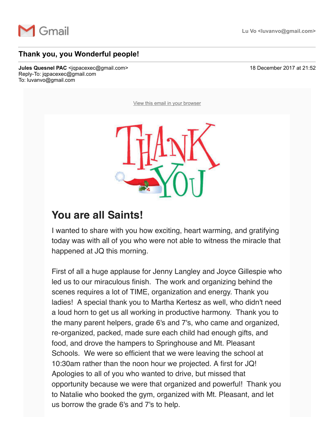

## **Thank you, you Wonderful people!**

**Jules Quesnel PAC** <jqpacexec@gmail.com> 18 December 2017 at 21:52 Reply-To: jqpacexec@gmail.com To: luvanvo@gmail.com

[View this email in your browser](http://mailchi.mp/737b82411043/thank-you-you-wonderful-people?e=a76be064ee)



## **You are all Saints!**

I wanted to share with you how exciting, heart warming, and gratifying today was with all of you who were not able to witness the miracle that happened at JQ this morning.

First of all a huge applause for Jenny Langley and Joyce Gillespie who led us to our miraculous finish. The work and organizing behind the scenes requires a lot of TIME, organization and energy. Thank you ladies! A special thank you to Martha Kertesz as well, who didn't need a loud horn to get us all working in productive harmony. Thank you to the many parent helpers, grade 6's and 7's, who came and organized, re-organized, packed, made sure each child had enough gifts, and food, and drove the hampers to Springhouse and Mt. Pleasant Schools. We were so efficient that we were leaving the school at 10:30am rather than the noon hour we projected. A first for JQ! Apologies to all of you who wanted to drive, but missed that opportunity because we were that organized and powerful! Thank you to Natalie who booked the gym, organized with Mt. Pleasant, and let us borrow the grade 6's and 7's to help.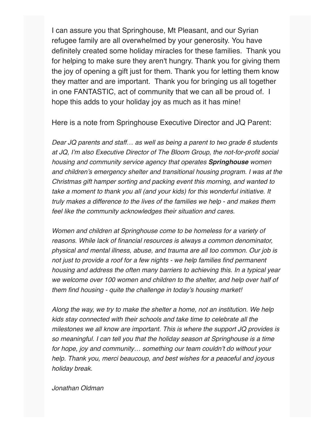I can assure you that Springhouse, Mt Pleasant, and our Syrian refugee family are all overwhelmed by your generosity. You have definitely created some holiday miracles for these families. Thank you for helping to make sure they aren't hungry. Thank you for giving them the joy of opening a gift just for them. Thank you for letting them know they matter and are important. Thank you for bringing us all together in one FANTASTIC, act of community that we can all be proud of. I hope this adds to your holiday joy as much as it has mine!

Here is a note from Springhouse Executive Director and JQ Parent:

*Dear JQ parents and staff… as well as being a parent to two grade 6 students at JQ, I'm also Executive Director of The Bloom Group, the not-for-profit social housing and community service agency that operates Springhouse women and children's emergency shelter and transitional housing program. I was at the Christmas gift hamper sorting and packing event this morning, and wanted to take a moment to thank you all (and your kids) for this wonderful initiative. It truly makes a difference to the lives of the families we help - and makes them feel like the community acknowledges their situation and cares.* 

*Women and children at Springhouse come to be homeless for a variety of reasons. While lack of financial resources is always a common denominator, physical and mental illness, abuse, and trauma are all too common. Our job is not just to provide a roof for a few nights - we help families find permanent housing and address the often many barriers to achieving this. In a typical year we welcome over 100 women and children to the shelter, and help over half of them find housing - quite the challenge in today's housing market!* 

*Along the way, we try to make the shelter a home, not an institution. We help kids stay connected with their schools and take time to celebrate all the milestones we all know are important. This is where the support JQ provides is so meaningful. I can tell you that the holiday season at Springhouse is a time for hope, joy and community… something our team couldn't do without your help. Thank you, merci beaucoup, and best wishes for a peaceful and joyous holiday break.* 

*Jonathan Oldman*